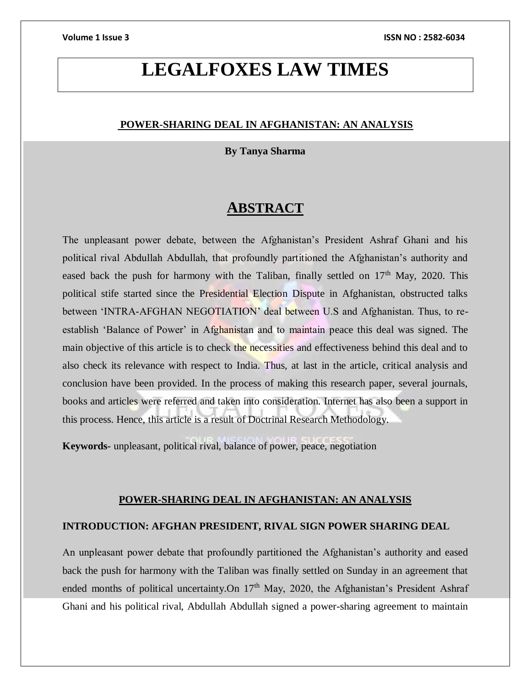# **LEGALFOXES LAW TIMES**

#### **POWER-SHARING DEAL IN AFGHANISTAN: AN ANALYSIS**

#### **By Tanya Sharma**

## **ABSTRACT**

The unpleasant power debate, between the Afghanistan's President Ashraf Ghani and his political rival Abdullah Abdullah, that profoundly partitioned the Afghanistan's authority and eased back the push for harmony with the Taliban, finally settled on  $17<sup>th</sup>$  May, 2020. This political stife started since the Presidential Election Dispute in Afghanistan, obstructed talks between 'INTRA-AFGHAN NEGOTIATION' deal between U.S and Afghanistan. Thus, to reestablish 'Balance of Power' in Afghanistan and to maintain peace this deal was signed. The main objective of this article is to check the necessities and effectiveness behind this deal and to also check its relevance with respect to India. Thus, at last in the article, critical analysis and conclusion have been provided. In the process of making this research paper, several journals, books and articles were referred and taken into consideration. Internet has also been a support in this process. Hence, this article is a result of Doctrinal Research Methodology.

**Keywords-** unpleasant, political rival, balance of power, peace, negotiation

#### **POWER-SHARING DEAL IN AFGHANISTAN: AN ANALYSIS**

### **INTRODUCTION: AFGHAN PRESIDENT, RIVAL SIGN POWER SHARING DEAL**

An unpleasant power debate that profoundly partitioned the Afghanistan's authority and eased back the push for harmony with the Taliban was finally settled on Sunday in an agreement that ended months of political uncertainty. On  $17<sup>th</sup>$  May, 2020, the Afghanistan's President Ashraf Ghani and his political rival, Abdullah Abdullah signed a power-sharing agreement to maintain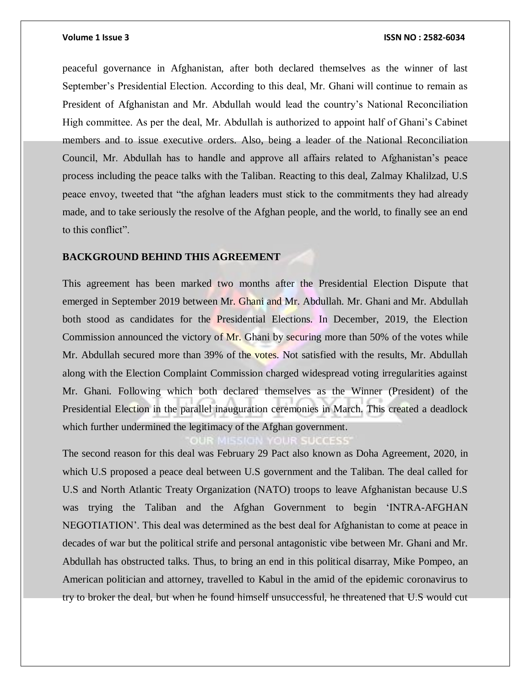#### **Volume 1 Issue 3 ISSN NO : 2582-6034**

peaceful governance in Afghanistan, after both declared themselves as the winner of last September's Presidential Election. According to this deal, Mr. Ghani will continue to remain as President of Afghanistan and Mr. Abdullah would lead the country's National Reconciliation High committee. As per the deal, Mr. Abdullah is authorized to appoint half of Ghani's Cabinet members and to issue executive orders. Also, being a leader of the National Reconciliation Council, Mr. Abdullah has to handle and approve all affairs related to Afghanistan's peace process including the peace talks with the Taliban. Reacting to this deal, Zalmay Khalilzad, U.S peace envoy, tweeted that "the afghan leaders must stick to the commitments they had already made, and to take seriously the resolve of the Afghan people, and the world, to finally see an end to this conflict".

### **BACKGROUND BEHIND THIS AGREEMENT**

This agreement has been marked two months after the Presidential Election Dispute that emerged in September 2019 between Mr. Ghani and Mr. Abdullah. Mr. Ghani and Mr. Abdullah both stood as candidates for the Presidential Elections. In December, 2019, the Election Commission announced the victory of Mr. Ghani by securing more than 50% of the votes while Mr. Abdullah secured more than 39% of the votes. Not satisfied with the results, Mr. Abdullah along with the Election Complaint Commission charged widespread voting irregularities against Mr. Ghani. Following which both declared themselves as the Winner (President) of the Presidential Election in the parallel inauguration ceremonies in March. This created a deadlock which further undermined the legitimacy of the Afghan government.

The second reason for this deal was February 29 Pact also known as Doha Agreement, 2020, in which U.S proposed a peace deal between U.S government and the Taliban. The deal called for U.S and North Atlantic Treaty Organization (NATO) troops to leave Afghanistan because U.S was trying the Taliban and the Afghan Government to begin 'INTRA-AFGHAN NEGOTIATION'. This deal was determined as the best deal for Afghanistan to come at peace in decades of war but the political strife and personal antagonistic vibe between Mr. Ghani and Mr. Abdullah has obstructed talks. Thus, to bring an end in this political disarray, Mike Pompeo, an American politician and attorney, travelled to Kabul in the amid of the epidemic coronavirus to try to broker the deal, but when he found himself unsuccessful, he threatened that U.S would cut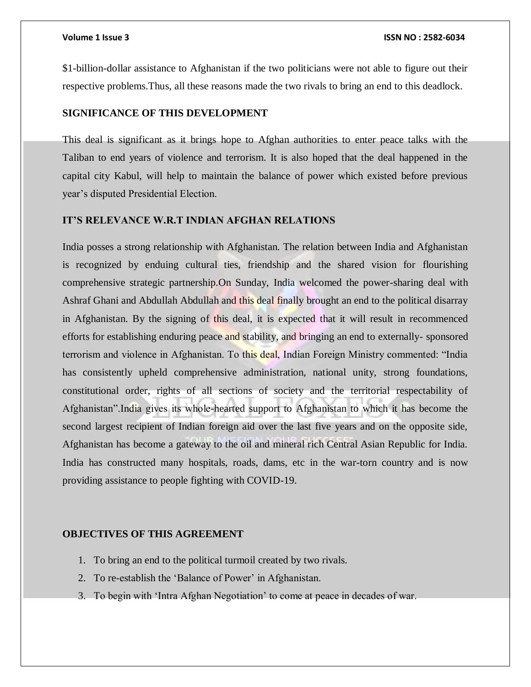\$1-billion-dollar assistance to Afghanistan if the two politicians were not able to figure out their respective problems.Thus, all these reasons made the two rivals to bring an end to this deadlock.

#### **SIGNIFICANCE OF THIS DEVELOPMENT**

This deal is significant as it brings hope to Afghan authorities to enter peace talks with the Taliban to end years of violence and terrorism. It is also hoped that the deal happened in the capital city Kabul, will help to maintain the balance of power which existed before previous year's disputed Presidential Election.

#### **IT'S RELEVANCE W.R.T INDIAN AFGHAN RELATIONS**

India posses a strong relationship with Afghanistan. The relation between India and Afghanistan is recognized by enduing cultural ties, friendship and the shared vision for flourishing comprehensive strategic partnership.On Sunday, India welcomed the power-sharing deal with Ashraf Ghani and Abdullah Abdullah and this deal finally brought an end to the political disarray in Afghanistan. By the signing of this deal, it is expected that it will result in recommenced efforts for establishing enduring peace and stability, and bringing an end to externally- sponsored terrorism and violence in Afghanistan. To this deal, Indian Foreign Ministry commented: "India has consistently upheld comprehensive administration, national unity, strong foundations, constitutional order, rights of all sections of society and the territorial respectability of Afghanistan".India gives its whole-hearted support to Afghanistan to which it has become the second largest recipient of Indian foreign aid over the last five years and on the opposite side, Afghanistan has become a gateway to the oil and mineral rich Central Asian Republic for India. India has constructed many hospitals, roads, dams, etc in the war-torn country and is now providing assistance to people fighting with COVID-19.

#### **OBJECTIVES OF THIS AGREEMENT**

- 1. To bring an end to the political turmoil created by two rivals.
- 2. To re-establish the 'Balance of Power' in Afghanistan.
- 3. To begin with 'Intra Afghan Negotiation' to come at peace in decades of war.